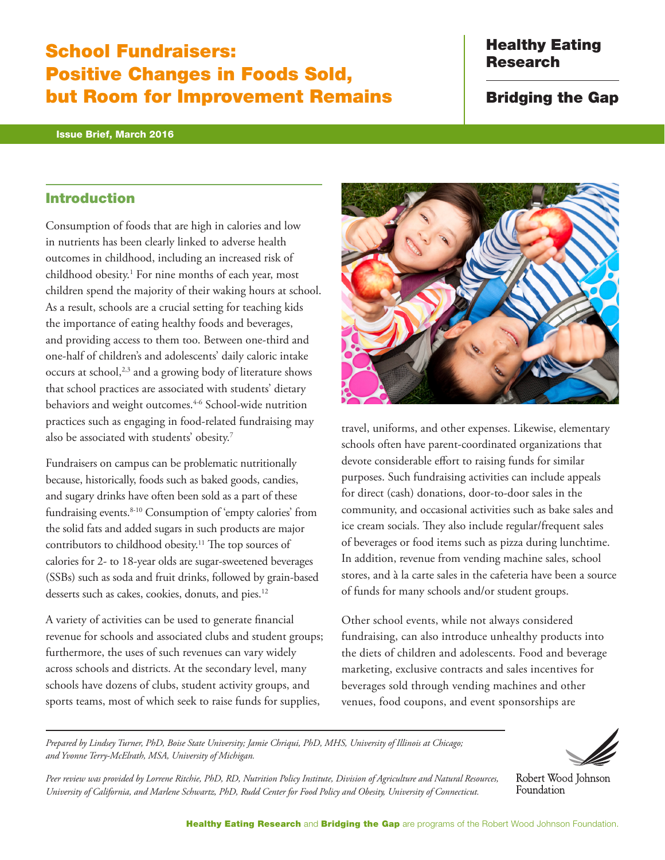# School Fundraisers: Positive Changes in Foods Sold, but Room for Improvement Remains

#### Issue Brief, March 2016

# Healthy Eating Research

Bridging the Gap

### Introduction

Consumption of foods that are high in calories and low in nutrients has been clearly linked to adverse health outcomes in childhood, including an increased risk of childhood obesity.1 For nine months of each year, most children spend the majority of their waking hours at school. As a result, schools are a crucial setting for teaching kids the importance of eating healthy foods and beverages, and providing access to them too. Between one-third and one-half of children's and adolescents' daily caloric intake occurs at school,<sup>2,3</sup> and a growing body of literature shows that school practices are associated with students' dietary behaviors and weight outcomes.<sup>4-6</sup> School-wide nutrition practices such as engaging in food-related fundraising may also be associated with students' obesity.7

Fundraisers on campus can be problematic nutritionally because, historically, foods such as baked goods, candies, and sugary drinks have often been sold as a part of these fundraising events.8-10 Consumption of 'empty calories' from the solid fats and added sugars in such products are major contributors to childhood obesity.11 The top sources of calories for 2- to 18-year olds are sugar-sweetened beverages (SSBs) such as soda and fruit drinks, followed by grain-based desserts such as cakes, cookies, donuts, and pies.<sup>12</sup>

A variety of activities can be used to generate financial revenue for schools and associated clubs and student groups; furthermore, the uses of such revenues can vary widely across schools and districts. At the secondary level, many schools have dozens of clubs, student activity groups, and sports teams, most of which seek to raise funds for supplies,



travel, uniforms, and other expenses. Likewise, elementary schools often have parent-coordinated organizations that devote considerable effort to raising funds for similar purposes. Such fundraising activities can include appeals for direct (cash) donations, door-to-door sales in the community, and occasional activities such as bake sales and ice cream socials. They also include regular/frequent sales of beverages or food items such as pizza during lunchtime. In addition, revenue from vending machine sales, school stores, and à la carte sales in the cafeteria have been a source of funds for many schools and/or student groups.

Other school events, while not always considered fundraising, can also introduce unhealthy products into the diets of children and adolescents. Food and beverage marketing, exclusive contracts and sales incentives for beverages sold through vending machines and other venues, food coupons, and event sponsorships are

*Prepared by Lindsey Turner, PhD, Boise State University; Jamie Chriqui, PhD, MHS, University of Illinois at Chicago; and Yvonne Terry-McElrath, MSA, University of Michigan.* 





Robert Wood Johnson Foundation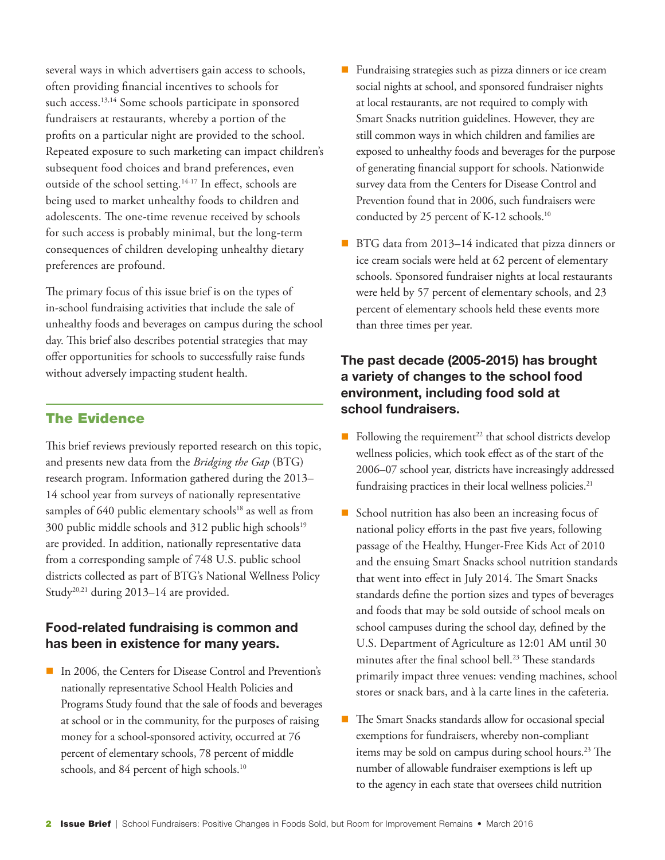several ways in which advertisers gain access to schools, often providing financial incentives to schools for such access.<sup>13,14</sup> Some schools participate in sponsored fundraisers at restaurants, whereby a portion of the profits on a particular night are provided to the school. Repeated exposure to such marketing can impact children's subsequent food choices and brand preferences, even outside of the school setting.<sup>14-17</sup> In effect, schools are being used to market unhealthy foods to children and adolescents. The one-time revenue received by schools for such access is probably minimal, but the long-term consequences of children developing unhealthy dietary preferences are profound.

The primary focus of this issue brief is on the types of in-school fundraising activities that include the sale of unhealthy foods and beverages on campus during the school day. This brief also describes potential strategies that may offer opportunities for schools to successfully raise funds without adversely impacting student health.

### The Evidence

This brief reviews previously reported research on this topic, and presents new data from the *Bridging the Gap* (BTG) research program. Information gathered during the 2013– 14 school year from surveys of nationally representative samples of 640 public elementary schools<sup>18</sup> as well as from 300 public middle schools and 312 public high schools<sup>19</sup> are provided. In addition, nationally representative data from a corresponding sample of 748 U.S. public school districts collected as part of BTG's National Wellness Policy Study<sup>20,21</sup> during 2013–14 are provided.

### Food-related fundraising is common and has been in existence for many years.

■ In 2006, the Centers for Disease Control and Prevention's nationally representative School Health Policies and Programs Study found that the sale of foods and beverages at school or in the community, for the purposes of raising money for a school-sponsored activity, occurred at 76 percent of elementary schools, 78 percent of middle schools, and 84 percent of high schools.<sup>10</sup>

- Fundraising strategies such as pizza dinners or ice cream social nights at school, and sponsored fundraiser nights at local restaurants, are not required to comply with Smart Snacks nutrition guidelines. However, they are still common ways in which children and families are exposed to unhealthy foods and beverages for the purpose of generating financial support for schools. Nationwide survey data from the Centers for Disease Control and Prevention found that in 2006, such fundraisers were conducted by 25 percent of K-12 schools.<sup>10</sup>
- BTG data from 2013–14 indicated that pizza dinners or ice cream socials were held at 62 percent of elementary schools. Sponsored fundraiser nights at local restaurants were held by 57 percent of elementary schools, and 23 percent of elementary schools held these events more than three times per year.

# The past decade (2005-2015) has brought a variety of changes to the school food environment, including food sold at school fundraisers.

- Following the requirement<sup>22</sup> that school districts develop wellness policies, which took effect as of the start of the 2006–07 school year, districts have increasingly addressed fundraising practices in their local wellness policies.<sup>21</sup>
- School nutrition has also been an increasing focus of national policy efforts in the past five years, following passage of the Healthy, Hunger-Free Kids Act of 2010 and the ensuing Smart Snacks school nutrition standards that went into effect in July 2014. The Smart Snacks standards define the portion sizes and types of beverages and foods that may be sold outside of school meals on school campuses during the school day, defined by the U.S. Department of Agriculture as 12:01 AM until 30 minutes after the final school bell.<sup>23</sup> These standards primarily impact three venues: vending machines, school stores or snack bars, and à la carte lines in the cafeteria.
- The Smart Snacks standards allow for occasional special exemptions for fundraisers, whereby non-compliant items may be sold on campus during school hours.<sup>23</sup> The number of allowable fundraiser exemptions is left up to the agency in each state that oversees child nutrition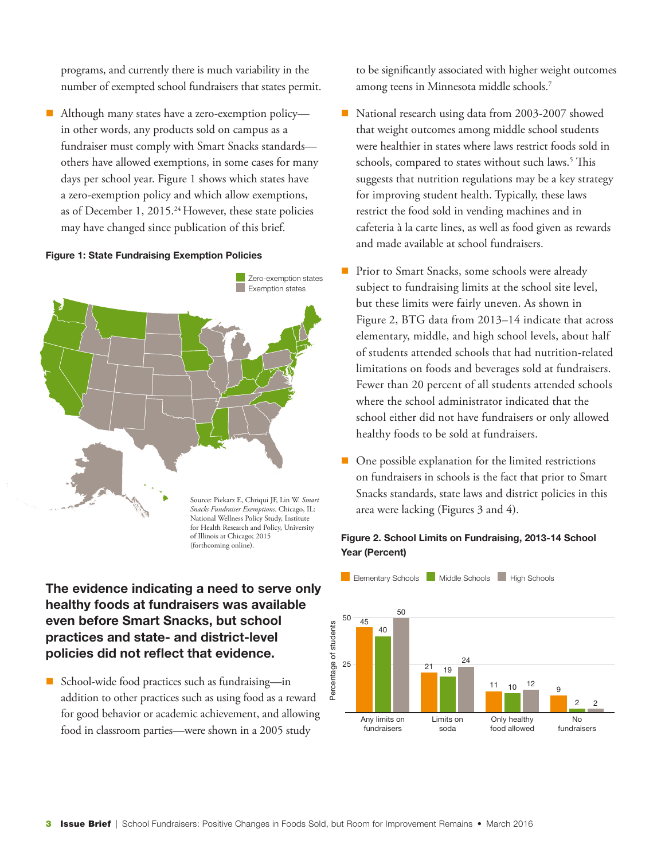programs, and currently there is much variability in the number of exempted school fundraisers that states permit.

■ Although many states have a zero-exemption policy in other words, any products sold on campus as a fundraiser must comply with Smart Snacks standards others have allowed exemptions, in some cases for many days per school year. Figure 1 shows which states have a zero-exemption policy and which allow exemptions, as of December 1, 2015.<sup>24</sup> However, these state policies may have changed since publication of this brief.

#### Figure 1: State Fundraising Exemption Policies



# The evidence indicating a need to serve only healthy foods at fundraisers was available even before Smart Snacks, but school practices and state- and district-level policies did not reflect that evidence.

■ School-wide food practices such as fundraising—in addition to other practices such as using food as a reward for good behavior or academic achievement, and allowing food in classroom parties—were shown in a 2005 study

to be significantly associated with higher weight outcomes among teens in Minnesota middle schools.7

- National research using data from 2003-2007 showed that weight outcomes among middle school students were healthier in states where laws restrict foods sold in schools, compared to states without such laws.<sup>5</sup> This suggests that nutrition regulations may be a key strategy for improving student health. Typically, these laws restrict the food sold in vending machines and in cafeteria à la carte lines, as well as food given as rewards and made available at school fundraisers.
- Prior to Smart Snacks, some schools were already subject to fundraising limits at the school site level, but these limits were fairly uneven. As shown in Figure 2, BTG data from 2013–14 indicate that across elementary, middle, and high school levels, about half of students attended schools that had nutrition-related limitations on foods and beverages sold at fundraisers. Fewer than 20 percent of all students attended schools where the school administrator indicated that the school either did not have fundraisers or only allowed healthy foods to be sold at fundraisers.
- $\blacksquare$  One possible explanation for the limited restrictions on fundraisers in schools is the fact that prior to Smart Snacks standards, state laws and district policies in this area were lacking (Figures 3 and 4).

### Figure 2. School Limits on Fundraising, 2013-14 School Year (Percent)



**Elementary Schools Middle Schools High Schools**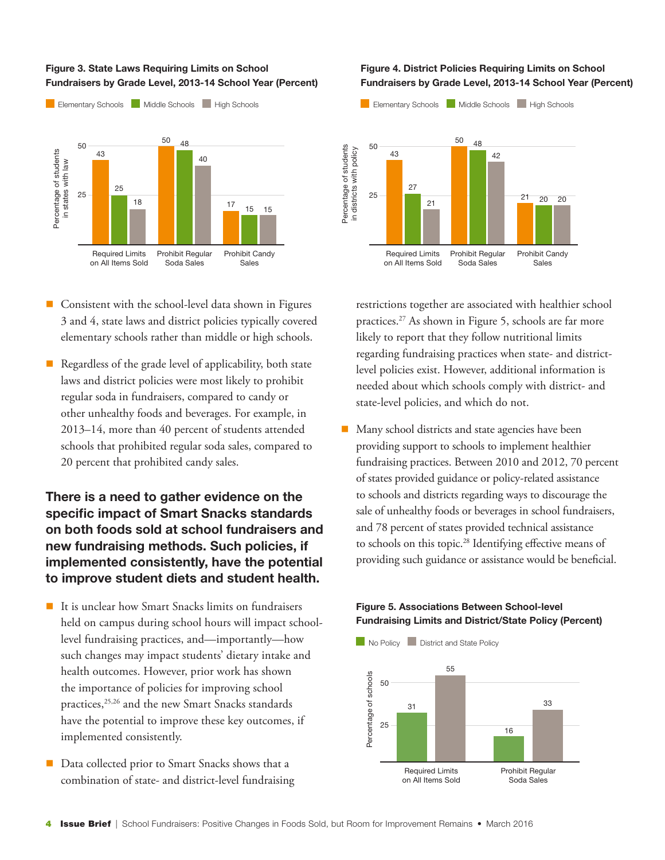#### Figure 3. State Laws Requiring Limits on School Fundraisers by Grade Level, 2013-14 School Year (Percent)



- $\blacksquare$  Consistent with the school-level data shown in Figures 3 and 4, state laws and district policies typically covered elementary schools rather than middle or high schools.
- $\blacksquare$  Regardless of the grade level of applicability, both state laws and district policies were most likely to prohibit regular soda in fundraisers, compared to candy or other unhealthy foods and beverages. For example, in 2013–14, more than 40 percent of students attended schools that prohibited regular soda sales, compared to 20 percent that prohibited candy sales.

# There is a need to gather evidence on the specific impact of Smart Snacks standards on both foods sold at school fundraisers and new fundraising methods. Such policies, if implemented consistently, have the potential to improve student diets and student health.

- $\blacksquare$  It is unclear how Smart Snacks limits on fundraisers held on campus during school hours will impact schoollevel fundraising practices, and—importantly—how such changes may impact students' dietary intake and health outcomes. However, prior work has shown the importance of policies for improving school practices,<sup>25,26</sup> and the new Smart Snacks standards have the potential to improve these key outcomes, if implemented consistently.
- Data collected prior to Smart Snacks shows that a combination of state- and district-level fundraising

#### Figure 4. District Policies Requiring Limits on School Fundraisers by Grade Level, 2013-14 School Year (Percent)



restrictions together are associated with healthier school practices.<sup>27</sup> As shown in Figure 5, schools are far more likely to report that they follow nutritional limits regarding fundraising practices when state- and districtlevel policies exist. However, additional information is needed about which schools comply with district- and state-level policies, and which do not.

 $\blacksquare$  Many school districts and state agencies have been providing support to schools to implement healthier fundraising practices. Between 2010 and 2012, 70 percent of states provided guidance or policy-related assistance to schools and districts regarding ways to discourage the sale of unhealthy foods or beverages in school fundraisers, and 78 percent of states provided technical assistance to schools on this topic.<sup>28</sup> Identifying effective means of providing such guidance or assistance would be beneficial.

### Figure 5. Associations Between School-level Fundraising Limits and District/State Policy (Percent)

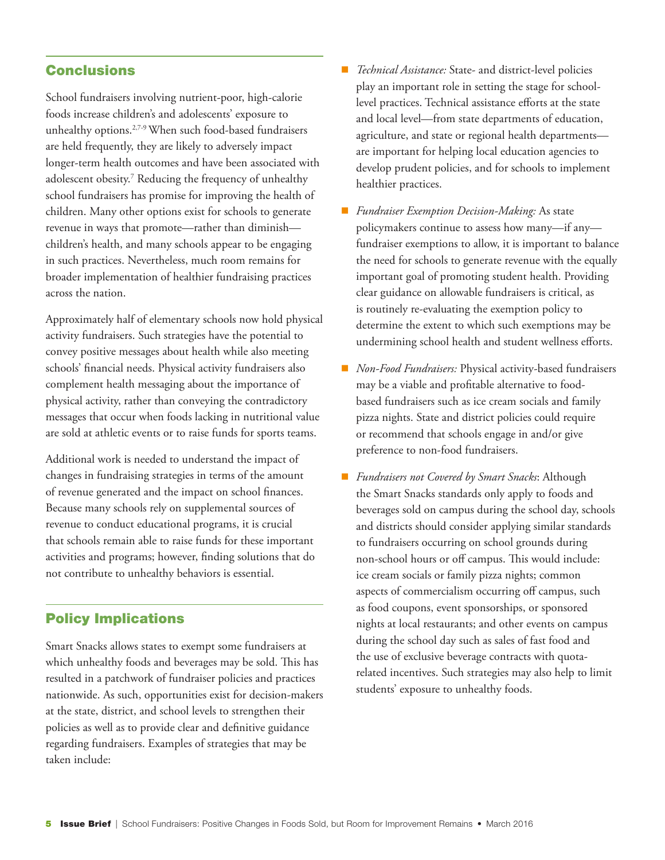### **Conclusions**

School fundraisers involving nutrient-poor, high-calorie foods increase children's and adolescents' exposure to unhealthy options.2,7-9 When such food-based fundraisers are held frequently, they are likely to adversely impact longer-term health outcomes and have been associated with adolescent obesity.7 Reducing the frequency of unhealthy school fundraisers has promise for improving the health of children. Many other options exist for schools to generate revenue in ways that promote—rather than diminish children's health, and many schools appear to be engaging in such practices. Nevertheless, much room remains for broader implementation of healthier fundraising practices across the nation.

Approximately half of elementary schools now hold physical activity fundraisers. Such strategies have the potential to convey positive messages about health while also meeting schools' financial needs. Physical activity fundraisers also complement health messaging about the importance of physical activity, rather than conveying the contradictory messages that occur when foods lacking in nutritional value are sold at athletic events or to raise funds for sports teams.

Additional work is needed to understand the impact of changes in fundraising strategies in terms of the amount of revenue generated and the impact on school finances. Because many schools rely on supplemental sources of revenue to conduct educational programs, it is crucial that schools remain able to raise funds for these important activities and programs; however, finding solutions that do not contribute to unhealthy behaviors is essential.

### Policy Implications

Smart Snacks allows states to exempt some fundraisers at which unhealthy foods and beverages may be sold. This has resulted in a patchwork of fundraiser policies and practices nationwide. As such, opportunities exist for decision-makers at the state, district, and school levels to strengthen their policies as well as to provide clear and definitive guidance regarding fundraisers. Examples of strategies that may be taken include:

- *Technical Assistance:* State- and district-level policies play an important role in setting the stage for schoollevel practices. Technical assistance efforts at the state and local level—from state departments of education, agriculture, and state or regional health departments are important for helping local education agencies to develop prudent policies, and for schools to implement healthier practices.
- *Fundraiser Exemption Decision-Making: As state* policymakers continue to assess how many—if any fundraiser exemptions to allow, it is important to balance the need for schools to generate revenue with the equally important goal of promoting student health. Providing clear guidance on allowable fundraisers is critical, as is routinely re-evaluating the exemption policy to determine the extent to which such exemptions may be undermining school health and student wellness efforts.
- *Non-Food Fundraisers:* Physical activity-based fundraisers may be a viable and profitable alternative to foodbased fundraisers such as ice cream socials and family pizza nights. State and district policies could require or recommend that schools engage in and/or give preference to non-food fundraisers.
- *Fundraisers not Covered by Smart Snacks*: Although the Smart Snacks standards only apply to foods and beverages sold on campus during the school day, schools and districts should consider applying similar standards to fundraisers occurring on school grounds during non-school hours or off campus. This would include: ice cream socials or family pizza nights; common aspects of commercialism occurring off campus, such as food coupons, event sponsorships, or sponsored nights at local restaurants; and other events on campus during the school day such as sales of fast food and the use of exclusive beverage contracts with quotarelated incentives. Such strategies may also help to limit students' exposure to unhealthy foods.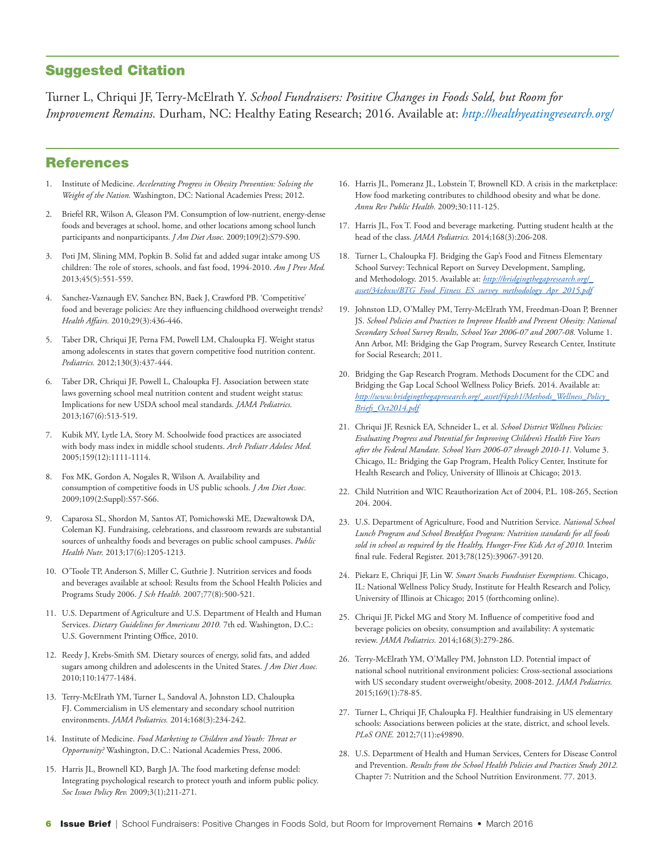### Suggested Citation

Turner L, Chriqui JF, Terry-McElrath Y. *School Fundraisers: Positive Changes in Foods Sold, but Room for Improvement Remains.* Durham, NC: Healthy Eating Research; 2016. Available at: *http://healthyeatingresearch.org/* 

### References

- 1. Institute of Medicine. *Accelerating Progress in Obesity Prevention: Solving the Weight of the Nation.* Washington, DC: National Academies Press; 2012.
- 2. Briefel RR, Wilson A, Gleason PM. Consumption of low-nutrient, energy-dense foods and beverages at school, home, and other locations among school lunch participants and nonparticipants. *J Am Diet Assoc.* 2009;109(2):S79-S90.
- 3. Poti JM, Slining MM, Popkin B. Solid fat and added sugar intake among US children: The role of stores, schools, and fast food, 1994-2010. *Am J Prev Med.* 2013;45(5):551-559.
- 4. Sanchez-Vaznaugh EV, Sanchez BN, Baek J, Crawford PB. 'Competitive' food and beverage policies: Are they influencing childhood overweight trends? *Health Affairs.* 2010;29(3):436-446.
- 5. Taber DR, Chriqui JF, Perna FM, Powell LM, Chaloupka FJ. Weight status among adolescents in states that govern competitive food nutrition content. *Pediatrics.* 2012;130(3):437-444.
- 6. Taber DR, Chriqui JF, Powell L, Chaloupka FJ. Association between state laws governing school meal nutrition content and student weight status: Implications for new USDA school meal standards. *JAMA Pediatrics.*  2013;167(6):513-519.
- 7. Kubik MY, Lytle LA, Story M. Schoolwide food practices are associated with body mass index in middle school students. *Arch Pediatr Adolesc Med.*  2005;159(12):1111-1114.
- 8. Fox MK, Gordon A, Nogales R, Wilson A. Availability and consumption of competitive foods in US public schools. *J Am Diet Assoc.* 2009;109(2:Suppl):S57-S66.
- 9. Caparosa SL, Shordon M, Santos AT, Pomichowski ME, Dzewaltowsk DA, Coleman KJ. Fundraising, celebrations, and classroom rewards are substantial sources of unhealthy foods and beverages on public school campuses. *Public Health Nutr.* 2013;17(6):1205-1213.
- 10. O'Toole TP, Anderson S, Miller C, Guthrie J. Nutrition services and foods and beverages available at school: Results from the School Health Policies and Programs Study 2006. *J Sch Health.* 2007;77(8):500-521.
- 11. U.S. Department of Agriculture and U.S. Department of Health and Human Services. *Dietary Guidelines for Americans 2010.* 7th ed. Washington, D.C.: U.S. Government Printing Office, 2010.
- 12. Reedy J, Krebs-Smith SM. Dietary sources of energy, solid fats, and added sugars among children and adolescents in the United States. *J Am Diet Assoc.*  2010;110:1477-1484.
- 13. Terry-McElrath YM, Turner L, Sandoval A, Johnston LD, Chaloupka FJ. Commercialism in US elementary and secondary school nutrition environments. *JAMA Pediatrics.* 2014;168(3):234-242.
- 14. Institute of Medicine. *Food Marketing to Children and Youth: Threat or Opportunity?* Washington, D.C.: National Academies Press, 2006.
- 15. Harris JL, Brownell KD, Bargh JA. The food marketing defense model: Integrating psychological research to protect youth and inform public policy. *Soc Issues Policy Rev.* 2009;3(1);211-271.
- 16. Harris JL, Pomeranz JL, Lobstein T, Brownell KD. A crisis in the marketplace: How food marketing contributes to childhood obesity and what be done. *Annu Rev Public Health.* 2009;30:111-125.
- 17. Harris JL, Fox T. Food and beverage marketing. Putting student health at the head of the class. *JAMA Pediatrics.* 2014;168(3):206-208.
- 18. Turner L, Chaloupka FJ. Bridging the Gap's Food and Fitness Elementary School Survey: Technical Report on Survey Development, Sampling, and Methodology. 2015. Available at: *[http://bridgingthegapresearch.org/\\_](http://bridgingthegapresearch.org/_asset/34zbxw/BTG_Food_Fitness_ES_survey_methodology_Apr_2015.pdf) [asset/34zbxw/BTG\\_Food\\_Fitness\\_ES\\_survey\\_methodology\\_Apr\\_2015.pdf](http://bridgingthegapresearch.org/_asset/34zbxw/BTG_Food_Fitness_ES_survey_methodology_Apr_2015.pdf)*
- 19. Johnston LD, O'Malley PM, Terry-McElrath YM, Freedman-Doan P, Brenner JS. *School Policies and Practices to Improve Health and Prevent Obesity: National Secondary School Survey Results, School Year 2006-07 and 2007-08.* Volume 1. Ann Arbor, MI: Bridging the Gap Program, Survey Research Center, Institute for Social Research; 2011.
- 20. Bridging the Gap Research Program. Methods Document for the CDC and Bridging the Gap Local School Wellness Policy Briefs. 2014. Available at: *[http://www.bridgingthegapresearch.org/\\_asset/f4pzh1/Methods\\_Wellness\\_Policy\\_](http://www.bridgingthegapresearch.org/_asset/f4pzh1/Methods_Wellness_Policy_Briefs_Oct2014.pdf) [Briefs\\_Oct2014.pdf](http://www.bridgingthegapresearch.org/_asset/f4pzh1/Methods_Wellness_Policy_Briefs_Oct2014.pdf)*
- 21. Chriqui JF, Resnick EA, Schneider L, et al. *School District Wellness Policies: Evaluating Progress and Potential for Improving Children's Health Five Years after the Federal Mandate. School Years 2006-07 through 2010-11.* Volume 3. Chicago, IL: Bridging the Gap Program, Health Policy Center, Institute for Health Research and Policy, University of Illinois at Chicago; 2013.
- 22. Child Nutrition and WIC Reauthorization Act of 2004, P.L. 108-265, Section 204. 2004.
- 23. U.S. Department of Agriculture, Food and Nutrition Service. *National School Lunch Program and School Breakfast Program: Nutrition standards for all foods sold in school as required by the Healthy, Hunger-Free Kids Act of 2010.* Interim final rule. Federal Register. 2013;78(125):39067-39120.
- 24. Piekarz E, Chriqui JF, Lin W. *Smart Snacks Fundraiser Exemptions*. Chicago, IL: National Wellness Policy Study, Institute for Health Research and Policy, University of Illinois at Chicago; 2015 (forthcoming online).
- 25. Chriqui JF, Pickel MG and Story M. Influence of competitive food and beverage policies on obesity, consumption and availability: A systematic review. *JAMA Pediatrics.* 2014;168(3):279-286.
- 26. Terry-McElrath YM, O'Malley PM, Johnston LD. Potential impact of national school nutritional environment policies: Cross-sectional associations with US secondary student overweight/obesity, 2008-2012. *JAMA Pediatrics.*  2015;169(1):78-85.
- 27. Turner L, Chriqui JF, Chaloupka FJ. Healthier fundraising in US elementary schools: Associations between policies at the state, district, and school levels. *PLoS ONE.* 2012;7(11):e49890.
- 28. U.S. Department of Health and Human Services, Centers for Disease Control and Prevention. *Results from the School Health Policies and Practices Study 2012.*  Chapter 7: Nutrition and the School Nutrition Environment. 77. 2013.